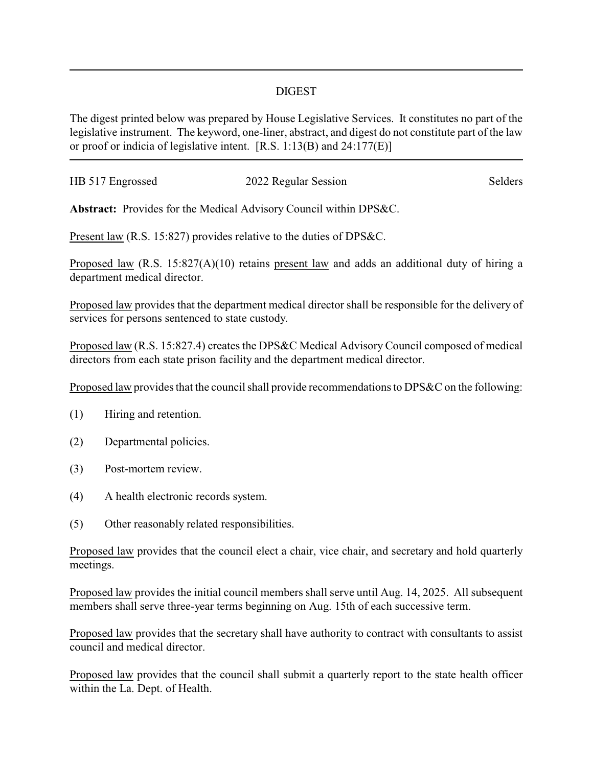## DIGEST

The digest printed below was prepared by House Legislative Services. It constitutes no part of the legislative instrument. The keyword, one-liner, abstract, and digest do not constitute part of the law or proof or indicia of legislative intent. [R.S. 1:13(B) and 24:177(E)]

| HB 517 Engrossed | 2022 Regular Session | Selders |
|------------------|----------------------|---------|
|                  |                      |         |

**Abstract:** Provides for the Medical Advisory Council within DPS&C.

Present law (R.S. 15:827) provides relative to the duties of DPS&C.

Proposed law (R.S. 15:827(A)(10) retains present law and adds an additional duty of hiring a department medical director.

Proposed law provides that the department medical director shall be responsible for the delivery of services for persons sentenced to state custody.

Proposed law (R.S. 15:827.4) creates the DPS&C Medical Advisory Council composed of medical directors from each state prison facility and the department medical director.

Proposed law provides that the council shall provide recommendations to DPS&C on the following:

- (1) Hiring and retention.
- (2) Departmental policies.
- (3) Post-mortem review.
- (4) A health electronic records system.
- (5) Other reasonably related responsibilities.

Proposed law provides that the council elect a chair, vice chair, and secretary and hold quarterly meetings.

Proposed law provides the initial council members shall serve until Aug. 14, 2025. All subsequent members shall serve three-year terms beginning on Aug. 15th of each successive term.

Proposed law provides that the secretary shall have authority to contract with consultants to assist council and medical director.

Proposed law provides that the council shall submit a quarterly report to the state health officer within the La. Dept. of Health.